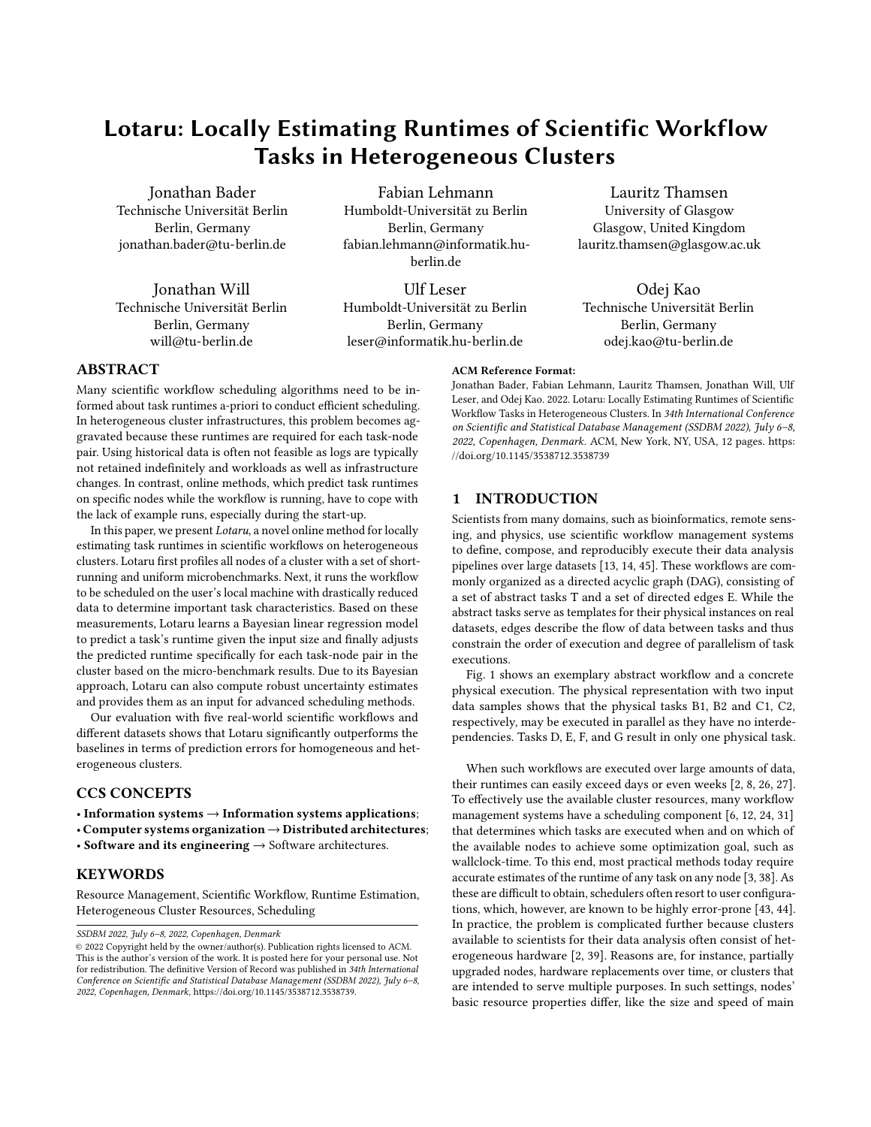# Lotaru: Locally Estimating Runtimes of Scientific Workflow Tasks in Heterogeneous Clusters

Jonathan Bader Technische Universität Berlin Berlin, Germany jonathan.bader@tu-berlin.de

Jonathan Will Technische Universität Berlin Berlin, Germany will@tu-berlin.de

[Fabian Lehmann](https://orcid.org/0000-0003-0520-0792) Humboldt-Universität zu Berlin Berlin, Germany fabian.lehmann@informatik.huberlin.de

[Ulf Leser](https://orcid.org/0000-0003-2166-9582) Humboldt-Universität zu Berlin Berlin, Germany leser@informatik.hu-berlin.de

Lauritz Thamsen University of Glasgow Glasgow, United Kingdom lauritz.thamsen@glasgow.ac.uk

Odej Kao Technische Universität Berlin Berlin, Germany odej.kao@tu-berlin.de

# ABSTRACT

Many scientific workflow scheduling algorithms need to be informed about task runtimes a-priori to conduct efficient scheduling. In heterogeneous cluster infrastructures, this problem becomes aggravated because these runtimes are required for each task-node pair. Using historical data is often not feasible as logs are typically not retained indefinitely and workloads as well as infrastructure changes. In contrast, online methods, which predict task runtimes on specific nodes while the workflow is running, have to cope with the lack of example runs, especially during the start-up.

In this paper, we present Lotaru, a novel online method for locally estimating task runtimes in scientific workflows on heterogeneous clusters. Lotaru first profiles all nodes of a cluster with a set of shortrunning and uniform microbenchmarks. Next, it runs the workflow to be scheduled on the user's local machine with drastically reduced data to determine important task characteristics. Based on these measurements, Lotaru learns a Bayesian linear regression model to predict a task's runtime given the input size and finally adjusts the predicted runtime specifically for each task-node pair in the cluster based on the micro-benchmark results. Due to its Bayesian approach, Lotaru can also compute robust uncertainty estimates and provides them as an input for advanced scheduling methods.

Our evaluation with five real-world scientific workflows and different datasets shows that Lotaru significantly outperforms the baselines in terms of prediction errors for homogeneous and heterogeneous clusters.

# CCS CONCEPTS

- Information systems → Information systems applications;
- Computer systems organization→Distributed architectures;
- Software and its engineering  $\rightarrow$  Software architectures.

## **KEYWORDS**

Resource Management, Scientific Workflow, Runtime Estimation, Heterogeneous Cluster Resources, Scheduling

SSDBM 2022, July 6–8, 2022, Copenhagen, Denmark

# ACM Reference Format:

Jonathan Bader, Fabian Lehmann, Lauritz Thamsen, Jonathan Will, Ulf Leser, and Odej Kao. 2022. Lotaru: Locally Estimating Runtimes of Scientific Workflow Tasks in Heterogeneous Clusters. In 34th International Conference on Scientific and Statistical Database Management (SSDBM 2022), July 6–8, 2022, Copenhagen, Denmark. ACM, New York, NY, USA, [12](#page-11-0) pages. [https:](https://doi.org/10.1145/3538712.3538739) [//doi.org/10.1145/3538712.3538739](https://doi.org/10.1145/3538712.3538739)

#### 1 INTRODUCTION

Scientists from many domains, such as bioinformatics, remote sensing, and physics, use scientific workflow management systems to define, compose, and reproducibly execute their data analysis pipelines over large datasets [\[13,](#page-10-0) [14,](#page-10-1) [45\]](#page-11-1). These workflows are commonly organized as a directed acyclic graph (DAG), consisting of a set of abstract tasks T and a set of directed edges E. While the abstract tasks serve as templates for their physical instances on real datasets, edges describe the flow of data between tasks and thus constrain the order of execution and degree of parallelism of task executions.

Fig. [1](#page-1-0) shows an exemplary abstract workflow and a concrete physical execution. The physical representation with two input data samples shows that the physical tasks B1, B2 and C1, C2, respectively, may be executed in parallel as they have no interdependencies. Tasks D, E, F, and G result in only one physical task.

When such workflows are executed over large amounts of data, their runtimes can easily exceed days or even weeks [\[2,](#page-10-2) [8,](#page-10-3) [26,](#page-10-4) [27\]](#page-10-5). To effectively use the available cluster resources, many workflow management systems have a scheduling component [\[6,](#page-10-6) [12,](#page-10-7) [24,](#page-10-8) [31\]](#page-11-2) that determines which tasks are executed when and on which of the available nodes to achieve some optimization goal, such as wallclock-time. To this end, most practical methods today require accurate estimates of the runtime of any task on any node [\[3,](#page-10-9) [38\]](#page-11-3). As these are difficult to obtain, schedulers often resort to user configurations, which, however, are known to be highly error-prone [\[43,](#page-11-4) [44\]](#page-11-5). In practice, the problem is complicated further because clusters available to scientists for their data analysis often consist of heterogeneous hardware [\[2,](#page-10-2) [39\]](#page-11-6). Reasons are, for instance, partially upgraded nodes, hardware replacements over time, or clusters that are intended to serve multiple purposes. In such settings, nodes' basic resource properties differ, like the size and speed of main

<sup>©</sup> 2022 Copyright held by the owner/author(s). Publication rights licensed to ACM. This is the author's version of the work. It is posted here for your personal use. Not for redistribution. The definitive Version of Record was published in 34th International Conference on Scientific and Statistical Database Management (SSDBM 2022), July 6–8, 2022, Copenhagen, Denmark, [https://doi.org/10.1145/3538712.3538739.](https://doi.org/10.1145/3538712.3538739)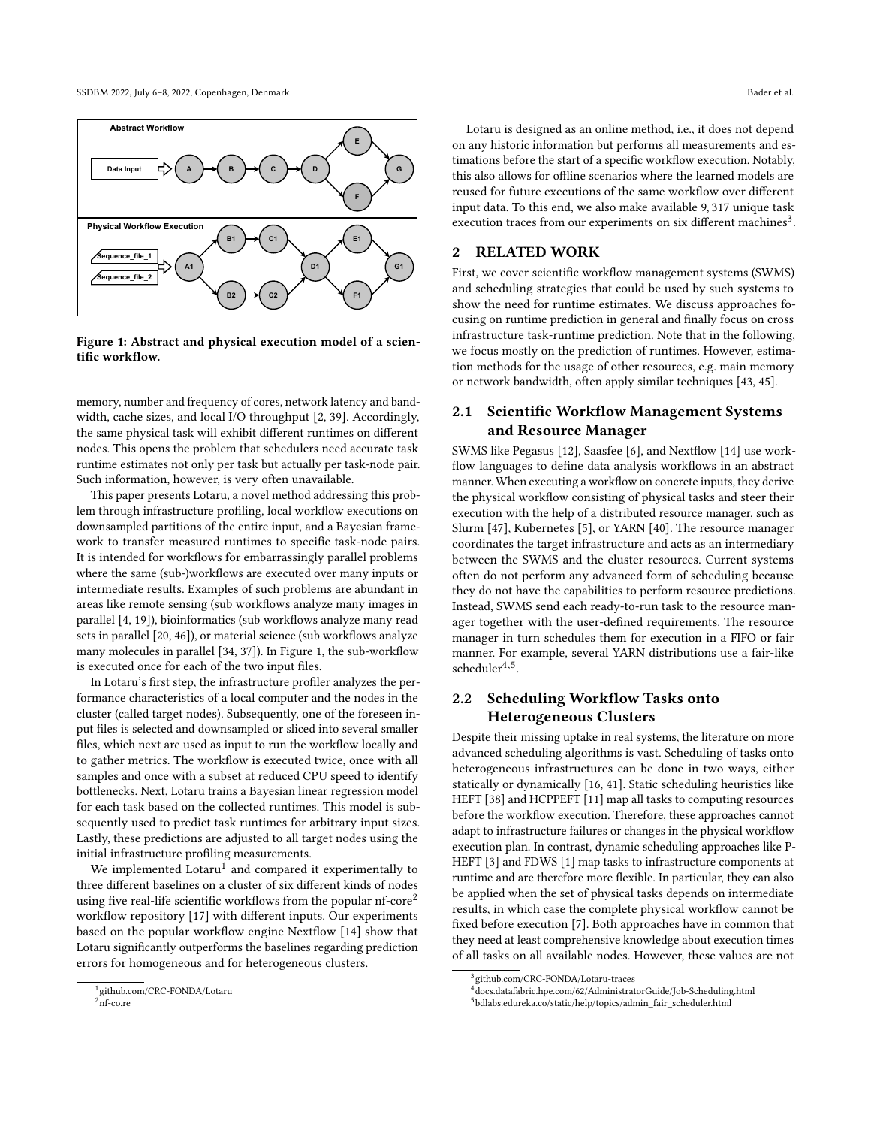<span id="page-1-0"></span>

Figure 1: Abstract and physical execution model of a scientific workflow.

memory, number and frequency of cores, network latency and bandwidth, cache sizes, and local I/O throughput [\[2,](#page-10-2) [39\]](#page-11-6). Accordingly, the same physical task will exhibit different runtimes on different nodes. This opens the problem that schedulers need accurate task runtime estimates not only per task but actually per task-node pair. Such information, however, is very often unavailable.

This paper presents Lotaru, a novel method addressing this problem through infrastructure profiling, local workflow executions on downsampled partitions of the entire input, and a Bayesian framework to transfer measured runtimes to specific task-node pairs. It is intended for workflows for embarrassingly parallel problems where the same (sub-)workflows are executed over many inputs or intermediate results. Examples of such problems are abundant in areas like remote sensing (sub workflows analyze many images in parallel [\[4,](#page-10-10) [19\]](#page-10-11)), bioinformatics (sub workflows analyze many read sets in parallel [\[20,](#page-10-12) [46\]](#page-11-7)), or material science (sub workflows analyze many molecules in parallel [\[34,](#page-11-8) [37\]](#page-11-9)). In Figure [1,](#page-1-0) the sub-workflow is executed once for each of the two input files.

In Lotaru's first step, the infrastructure profiler analyzes the performance characteristics of a local computer and the nodes in the cluster (called target nodes). Subsequently, one of the foreseen input files is selected and downsampled or sliced into several smaller files, which next are used as input to run the workflow locally and to gather metrics. The workflow is executed twice, once with all samples and once with a subset at reduced CPU speed to identify bottlenecks. Next, Lotaru trains a Bayesian linear regression model for each task based on the collected runtimes. This model is subsequently used to predict task runtimes for arbitrary input sizes. Lastly, these predictions are adjusted to all target nodes using the initial infrastructure profiling measurements.

We implemented  $\operatorname{Lotaru}^1$  and compared it experimentally to three different baselines on a cluster of six different kinds of nodes using five real-life scientific workflows from the popular  $nf\text{-core}^2$ workflow repository [\[17\]](#page-10-13) with different inputs. Our experiments based on the popular workflow engine Nextflow [\[14\]](#page-10-1) show that Lotaru significantly outperforms the baselines regarding prediction errors for homogeneous and for heterogeneous clusters.

Lotaru is designed as an online method, i.e., it does not depend on any historic information but performs all measurements and estimations before the start of a specific workflow execution. Notably, this also allows for offline scenarios where the learned models are reused for future executions of the same workflow over different input data. To this end, we also make available 9, 317 unique task execution traces from our experiments on six different machines<sup>3</sup>.

## 2 RELATED WORK

First, we cover scientific workflow management systems (SWMS) and scheduling strategies that could be used by such systems to show the need for runtime estimates. We discuss approaches focusing on runtime prediction in general and finally focus on cross infrastructure task-runtime prediction. Note that in the following, we focus mostly on the prediction of runtimes. However, estimation methods for the usage of other resources, e.g. main memory or network bandwidth, often apply similar techniques [\[43,](#page-11-4) [45\]](#page-11-1).

# 2.1 Scientific Workflow Management Systems and Resource Manager

SWMS like Pegasus [\[12\]](#page-10-7), Saasfee [\[6\]](#page-10-6), and Nextflow [\[14\]](#page-10-1) use workflow languages to define data analysis workflows in an abstract manner. When executing a workflow on concrete inputs, they derive the physical workflow consisting of physical tasks and steer their execution with the help of a distributed resource manager, such as Slurm [\[47\]](#page-11-10), Kubernetes [\[5\]](#page-10-14), or YARN [\[40\]](#page-11-11). The resource manager coordinates the target infrastructure and acts as an intermediary between the SWMS and the cluster resources. Current systems often do not perform any advanced form of scheduling because they do not have the capabilities to perform resource predictions. Instead, SWMS send each ready-to-run task to the resource manager together with the user-defined requirements. The resource manager in turn schedules them for execution in a FIFO or fair manner. For example, several YARN distributions use a fair-like  $scheduler<sup>4,5</sup>$ .

# 2.2 Scheduling Workflow Tasks onto Heterogeneous Clusters

Despite their missing uptake in real systems, the literature on more advanced scheduling algorithms is vast. Scheduling of tasks onto heterogeneous infrastructures can be done in two ways, either statically or dynamically [\[16,](#page-10-15) [41\]](#page-11-12). Static scheduling heuristics like HEFT [\[38\]](#page-11-3) and HCPPEFT [\[11\]](#page-10-16) map all tasks to computing resources before the workflow execution. Therefore, these approaches cannot adapt to infrastructure failures or changes in the physical workflow execution plan. In contrast, dynamic scheduling approaches like P-HEFT [\[3\]](#page-10-9) and FDWS [\[1\]](#page-10-17) map tasks to infrastructure components at runtime and are therefore more flexible. In particular, they can also be applied when the set of physical tasks depends on intermediate results, in which case the complete physical workflow cannot be fixed before execution [\[7\]](#page-10-18). Both approaches have in common that they need at least comprehensive knowledge about execution times of all tasks on all available nodes. However, these values are not

<sup>1</sup> github.com/CRC-FONDA/Lotaru

 $^{2}$ nf-co.re

<sup>3</sup> github.com/CRC-FONDA/Lotaru-traces

<sup>4</sup>docs.datafabric.hpe.com/62/AdministratorGuide/Job-Scheduling.html

<sup>5</sup> bdlabs.edureka.co/static/help/topics/admin\_fair\_scheduler.html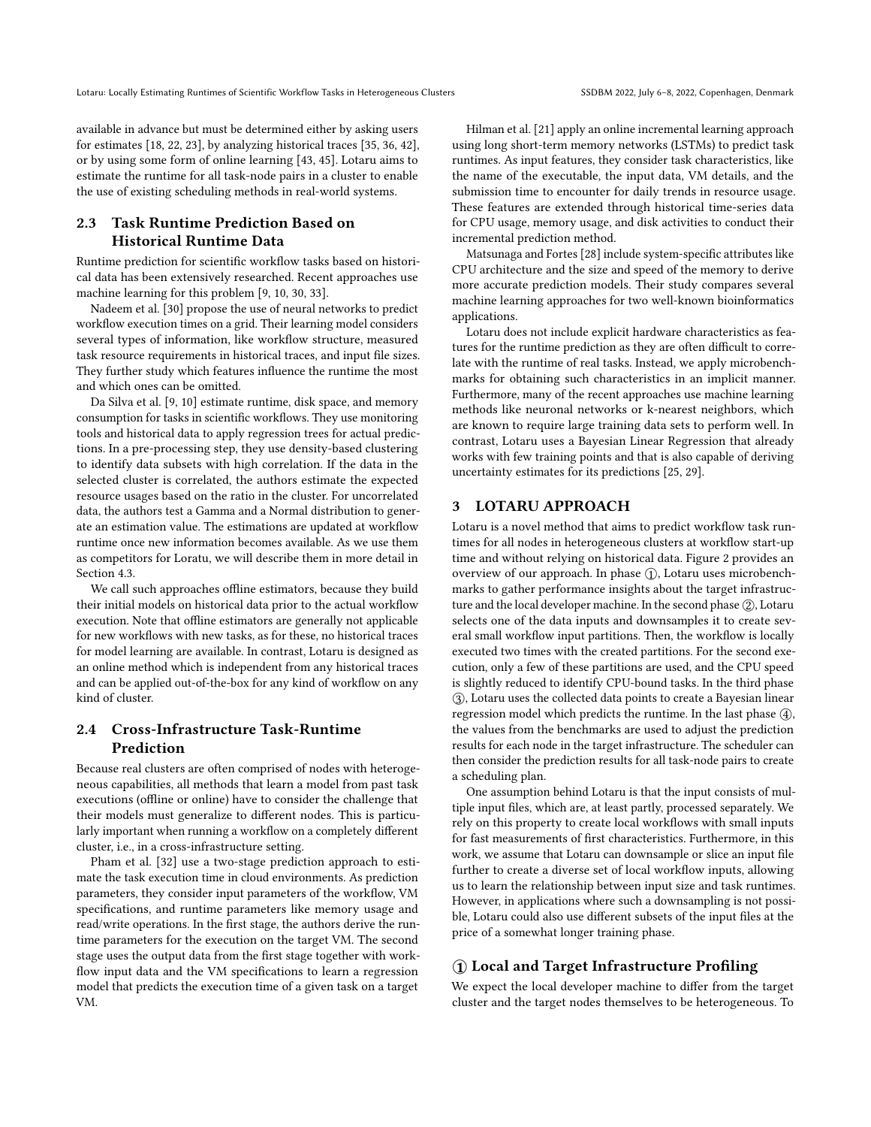available in advance but must be determined either by asking users for estimates [\[18,](#page-10-19) [22,](#page-10-20) [23\]](#page-10-21), by analyzing historical traces [\[35,](#page-11-13) [36,](#page-11-14) [42\]](#page-11-15), or by using some form of online learning [\[43,](#page-11-4) [45\]](#page-11-1). Lotaru aims to estimate the runtime for all task-node pairs in a cluster to enable the use of existing scheduling methods in real-world systems.

# 2.3 Task Runtime Prediction Based on Historical Runtime Data

Runtime prediction for scientific workflow tasks based on historical data has been extensively researched. Recent approaches use machine learning for this problem [\[9,](#page-10-22) [10,](#page-10-23) [30,](#page-10-24) [33\]](#page-11-16).

Nadeem et al. [\[30\]](#page-10-24) propose the use of neural networks to predict workflow execution times on a grid. Their learning model considers several types of information, like workflow structure, measured task resource requirements in historical traces, and input file sizes. They further study which features influence the runtime the most and which ones can be omitted.

[Da Silva et al.](#page-10-22) [\[9,](#page-10-22) [10\]](#page-10-23) estimate runtime, disk space, and memory consumption for tasks in scientific workflows. They use monitoring tools and historical data to apply regression trees for actual predictions. In a pre-processing step, they use density-based clustering to identify data subsets with high correlation. If the data in the selected cluster is correlated, the authors estimate the expected resource usages based on the ratio in the cluster. For uncorrelated data, the authors test a Gamma and a Normal distribution to generate an estimation value. The estimations are updated at workflow runtime once new information becomes available. As we use them as competitors for Loratu, we will describe them in more detail in Section [4.3.](#page-5-0)

We call such approaches offline estimators, because they build their initial models on historical data prior to the actual workflow execution. Note that offline estimators are generally not applicable for new workflows with new tasks, as for these, no historical traces for model learning are available. In contrast, Lotaru is designed as an online method which is independent from any historical traces and can be applied out-of-the-box for any kind of workflow on any kind of cluster.

# 2.4 Cross-Infrastructure Task-Runtime Prediction

Because real clusters are often comprised of nodes with heterogeneous capabilities, all methods that learn a model from past task executions (offline or online) have to consider the challenge that their models must generalize to different nodes. This is particularly important when running a workflow on a completely different cluster, i.e., in a cross-infrastructure setting.

Pham et al. [\[32\]](#page-11-17) use a two-stage prediction approach to estimate the task execution time in cloud environments. As prediction parameters, they consider input parameters of the workflow, VM specifications, and runtime parameters like memory usage and read/write operations. In the first stage, the authors derive the runtime parameters for the execution on the target VM. The second stage uses the output data from the first stage together with workflow input data and the VM specifications to learn a regression model that predicts the execution time of a given task on a target VM.

Hilman et al. [\[21\]](#page-10-25) apply an online incremental learning approach using long short-term memory networks (LSTMs) to predict task runtimes. As input features, they consider task characteristics, like the name of the executable, the input data, VM details, and the submission time to encounter for daily trends in resource usage. These features are extended through historical time-series data for CPU usage, memory usage, and disk activities to conduct their incremental prediction method.

Matsunaga and Fortes [\[28\]](#page-10-26) include system-specific attributes like CPU architecture and the size and speed of the memory to derive more accurate prediction models. Their study compares several machine learning approaches for two well-known bioinformatics applications.

Lotaru does not include explicit hardware characteristics as features for the runtime prediction as they are often difficult to correlate with the runtime of real tasks. Instead, we apply microbenchmarks for obtaining such characteristics in an implicit manner. Furthermore, many of the recent approaches use machine learning methods like neuronal networks or k-nearest neighbors, which are known to require large training data sets to perform well. In contrast, Lotaru uses a Bayesian Linear Regression that already works with few training points and that is also capable of deriving uncertainty estimates for its predictions [\[25,](#page-10-27) [29\]](#page-10-28).

## 3 LOTARU APPROACH

Lotaru is a novel method that aims to predict workflow task runtimes for all nodes in heterogeneous clusters at workflow start-up time and without relying on historical data. Figure [2](#page-3-0) provides an overview of our approach. In phase (1), Lotaru uses microbenchmarks to gather performance insights about the target infrastructure and the local developer machine. In the second phase ②, Lotaru selects one of the data inputs and downsamples it to create several small workflow input partitions. Then, the workflow is locally executed two times with the created partitions. For the second execution, only a few of these partitions are used, and the CPU speed is slightly reduced to identify CPU-bound tasks. In the third phase ○3 , Lotaru uses the collected data points to create a Bayesian linear regression model which predicts the runtime. In the last phase  $\Phi$ , the values from the benchmarks are used to adjust the prediction results for each node in the target infrastructure. The scheduler can then consider the prediction results for all task-node pairs to create a scheduling plan.

One assumption behind Lotaru is that the input consists of multiple input files, which are, at least partly, processed separately. We rely on this property to create local workflows with small inputs for fast measurements of first characteristics. Furthermore, in this work, we assume that Lotaru can downsample or slice an input file further to create a diverse set of local workflow inputs, allowing us to learn the relationship between input size and task runtimes. However, in applications where such a downsampling is not possible, Lotaru could also use different subsets of the input files at the price of a somewhat longer training phase.

## ○1 Local and Target Infrastructure Profiling

We expect the local developer machine to differ from the target cluster and the target nodes themselves to be heterogeneous. To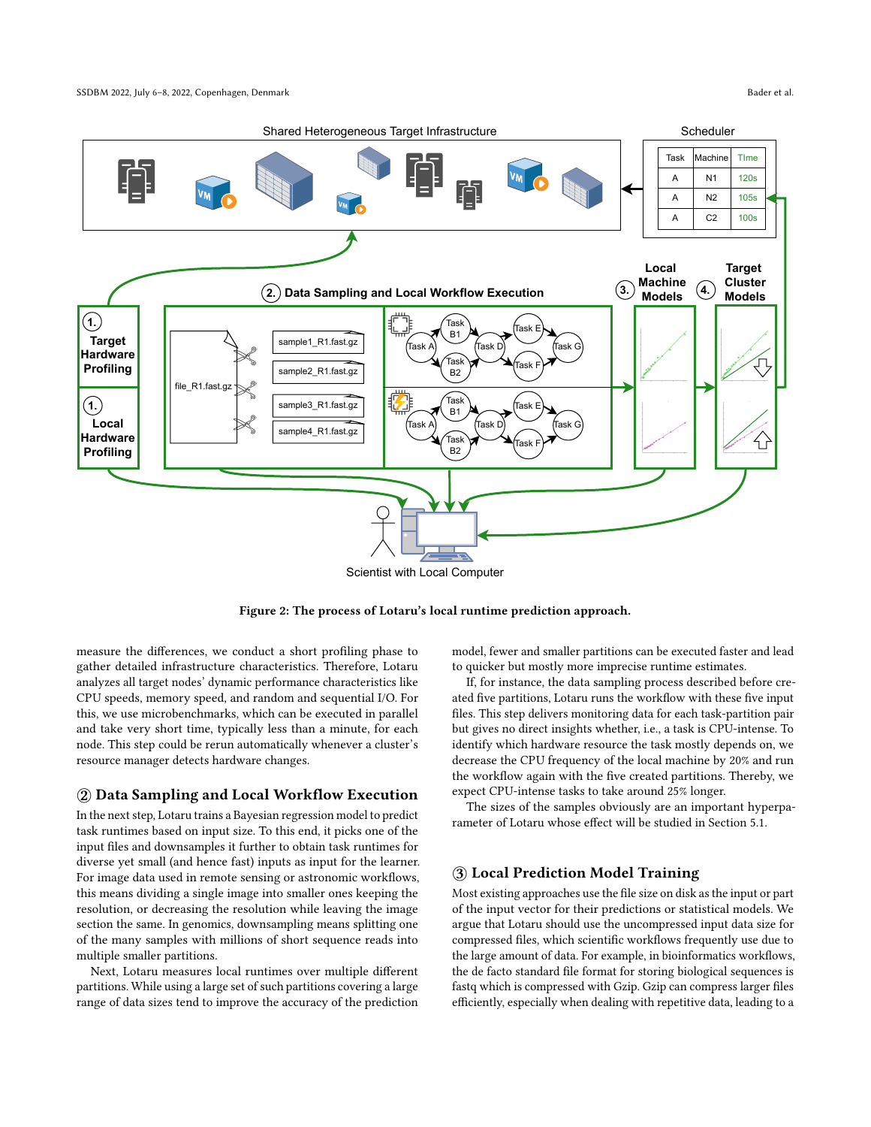<span id="page-3-0"></span>

Figure 2: The process of Lotaru's local runtime prediction approach.

measure the differences, we conduct a short profiling phase to gather detailed infrastructure characteristics. Therefore, Lotaru analyzes all target nodes' dynamic performance characteristics like CPU speeds, memory speed, and random and sequential I/O. For this, we use microbenchmarks, which can be executed in parallel and take very short time, typically less than a minute, for each node. This step could be rerun automatically whenever a cluster's resource manager detects hardware changes.

#### ○2 Data Sampling and Local Workflow Execution

In the next step, Lotaru trains a Bayesian regression model to predict task runtimes based on input size. To this end, it picks one of the input files and downsamples it further to obtain task runtimes for diverse yet small (and hence fast) inputs as input for the learner. For image data used in remote sensing or astronomic workflows, this means dividing a single image into smaller ones keeping the resolution, or decreasing the resolution while leaving the image section the same. In genomics, downsampling means splitting one of the many samples with millions of short sequence reads into multiple smaller partitions.

Next, Lotaru measures local runtimes over multiple different partitions. While using a large set of such partitions covering a large range of data sizes tend to improve the accuracy of the prediction model, fewer and smaller partitions can be executed faster and lead to quicker but mostly more imprecise runtime estimates.

If, for instance, the data sampling process described before created five partitions, Lotaru runs the workflow with these five input files. This step delivers monitoring data for each task-partition pair but gives no direct insights whether, i.e., a task is CPU-intense. To identify which hardware resource the task mostly depends on, we decrease the CPU frequency of the local machine by 20% and run the workflow again with the five created partitions. Thereby, we expect CPU-intense tasks to take around 25% longer.

The sizes of the samples obviously are an important hyperparameter of Lotaru whose effect will be studied in Section [5.1.](#page-6-0)

## ○3 Local Prediction Model Training

Most existing approaches use the file size on disk as the input or part of the input vector for their predictions or statistical models. We argue that Lotaru should use the uncompressed input data size for compressed files, which scientific workflows frequently use due to the large amount of data. For example, in bioinformatics workflows, the de facto standard file format for storing biological sequences is fastq which is compressed with Gzip. Gzip can compress larger files efficiently, especially when dealing with repetitive data, leading to a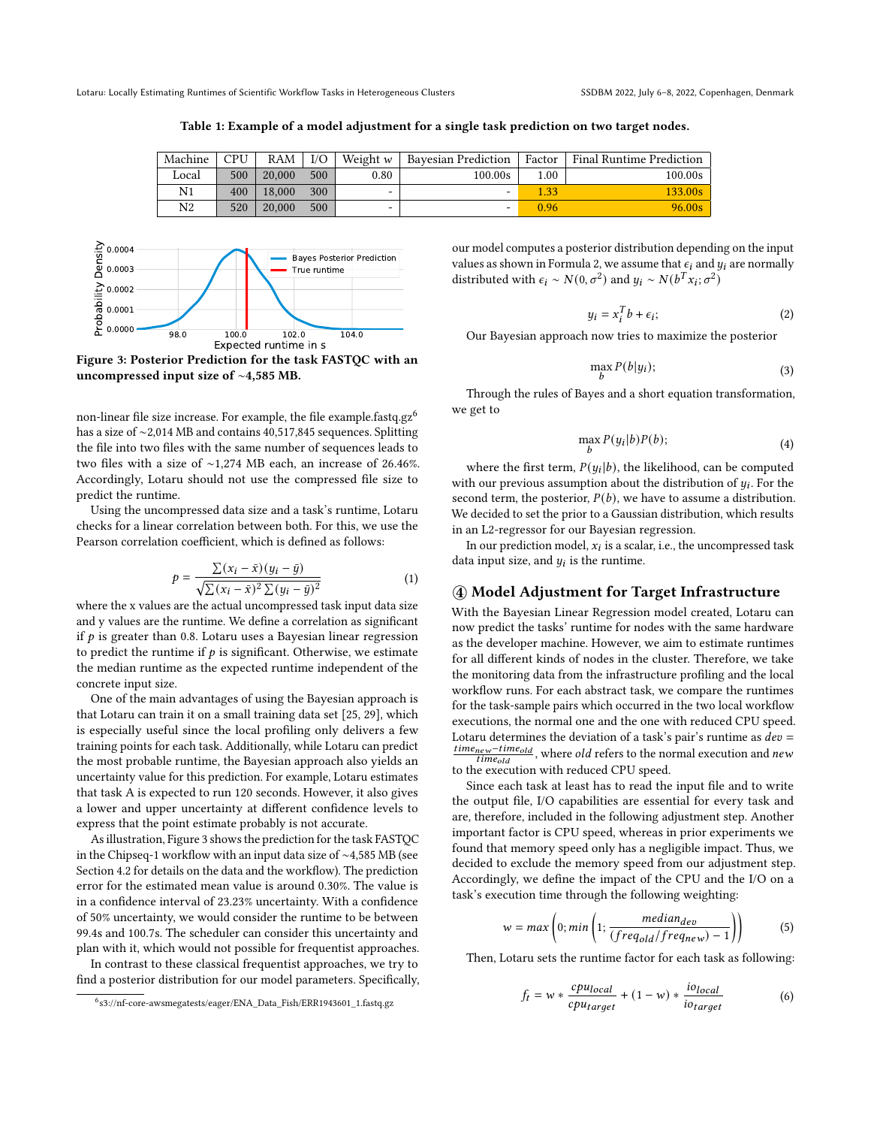<span id="page-4-2"></span>Lotaru: Locally Estimating Runtimes of Scientific Workflow Tasks in Heterogeneous Clusters SSDBM 2022, July 6-8, 2022, Copenhagen, Denmark

Table 1: Example of a model adjustment for a single task prediction on two target nodes.

| Machine        | CPU | RAM    | I/O | Weight w | Bavesian Prediction | Factor | <b>Final Runtime Prediction</b> |
|----------------|-----|--------|-----|----------|---------------------|--------|---------------------------------|
| Local          |     | 20,000 | 500 |          |                     |        |                                 |
|                | 500 |        |     | 0.80     | 100.00s             | 1.00   | 100.00s                         |
| N <sub>1</sub> | 400 | 18,000 | 300 | $\sim$   | -                   | .33    | 133.00s                         |
| N2             | 520 | 20,000 | 500 | -        | -                   | 0.96   | 96.00s                          |

<span id="page-4-0"></span>

Figure 3: Posterior Prediction for the task FASTQC with an uncompressed input size of ∼4,585 MB.

non-linear file size increase. For example, the file example.fastq.gz<sup>6</sup> has a size of ∼2,014 MB and contains 40,517,845 sequences. Splitting the file into two files with the same number of sequences leads to two files with a size of ∼1,274 MB each, an increase of 26.46%. Accordingly, Lotaru should not use the compressed file size to predict the runtime.

Using the uncompressed data size and a task's runtime, Lotaru checks for a linear correlation between both. For this, we use the Pearson correlation coefficient, which is defined as follows:

$$
p = \frac{\sum (x_i - \bar{x})(y_i - \bar{y})}{\sqrt{\sum (x_i - \bar{x})^2 \sum (y_i - \bar{y})^2}}
$$
(1)

where the x values are the actual uncompressed task input data size and y values are the runtime. We define a correlation as significant if  $p$  is greater than 0.8. Lotaru uses a Bayesian linear regression to predict the runtime if  $p$  is significant. Otherwise, we estimate the median runtime as the expected runtime independent of the concrete input size.

One of the main advantages of using the Bayesian approach is that Lotaru can train it on a small training data set [\[25,](#page-10-27) [29\]](#page-10-28), which is especially useful since the local profiling only delivers a few training points for each task. Additionally, while Lotaru can predict the most probable runtime, the Bayesian approach also yields an uncertainty value for this prediction. For example, Lotaru estimates that task A is expected to run 120 seconds. However, it also gives a lower and upper uncertainty at different confidence levels to express that the point estimate probably is not accurate.

As illustration, Figure [3](#page-4-0) shows the prediction for the task FASTQC in the Chipseq-1 workflow with an input data size of ∼4,585 MB (see Section [4.2](#page-5-1) for details on the data and the workflow). The prediction error for the estimated mean value is around 0.30%. The value is in a confidence interval of 23.23% uncertainty. With a confidence of 50% uncertainty, we would consider the runtime to be between 99.4s and 100.7s. The scheduler can consider this uncertainty and plan with it, which would not possible for frequentist approaches.

In contrast to these classical frequentist approaches, we try to find a posterior distribution for our model parameters. Specifically,

our model computes a posterior distribution depending on the input values as shown in Formula [2,](#page-4-1) we assume that  $\epsilon_i$  and  $y_i$  are normally distributed with  $\epsilon_i \sim N(0, \sigma^2)$  and  $y_i \sim N(b^T x_i; \sigma^2)$ 

<span id="page-4-1"></span>
$$
y_i = x_i^T b + \epsilon_i; \tag{2}
$$

Our Bayesian approach now tries to maximize the posterior

$$
\max_{b} P(b|y_i); \tag{3}
$$

Through the rules of Bayes and a short equation transformation, we get to

$$
\max_{b} P(y_i|b)P(b); \tag{4}
$$

where the first term,  $P(y_i | b)$ , the likelihood, can be computed with our previous assumption about the distribution of  $y_i$ . For the second term, the posterior,  $P(b)$ , we have to assume a distribution. We decided to set the prior to a Gaussian distribution, which results in an L2-regressor for our Bayesian regression.

In our prediction model,  $x_i$  is a scalar, i.e., the uncompressed task data input size, and  $y_i$  is the runtime.

#### ○4 Model Adjustment for Target Infrastructure

With the Bayesian Linear Regression model created, Lotaru can now predict the tasks' runtime for nodes with the same hardware as the developer machine. However, we aim to estimate runtimes for all different kinds of nodes in the cluster. Therefore, we take the monitoring data from the infrastructure profiling and the local workflow runs. For each abstract task, we compare the runtimes for the task-sample pairs which occurred in the two local workflow executions, the normal one and the one with reduced CPU speed. Lotaru determines the deviation of a task's pair's runtime as  $dev =$  $\frac{time_{new}-time_{old}}{time_{old}}$ , where *old* refers to the normal execution and *new* to the execution with reduced CPU speed.

Since each task at least has to read the input file and to write the output file, I/O capabilities are essential for every task and are, therefore, included in the following adjustment step. Another important factor is CPU speed, whereas in prior experiments we found that memory speed only has a negligible impact. Thus, we decided to exclude the memory speed from our adjustment step. Accordingly, we define the impact of the CPU and the I/O on a task's execution time through the following weighting:

$$
w = max\left(0; min\left(1; \frac{median_{dev}}{(freq_{old}/freq_{new}) - 1}\right)\right)
$$
 (5)

Then, Lotaru sets the runtime factor for each task as following:

$$
f_t = w * \frac{cpu_{local}}{cpu_{target}} + (1 - w) * \frac{io_{local}}{iot_{target}}
$$
 (6)

<sup>6</sup> s3://nf-core-awsmegatests/eager/ENA\_Data\_Fish/ERR1943601\_1.fastq.gz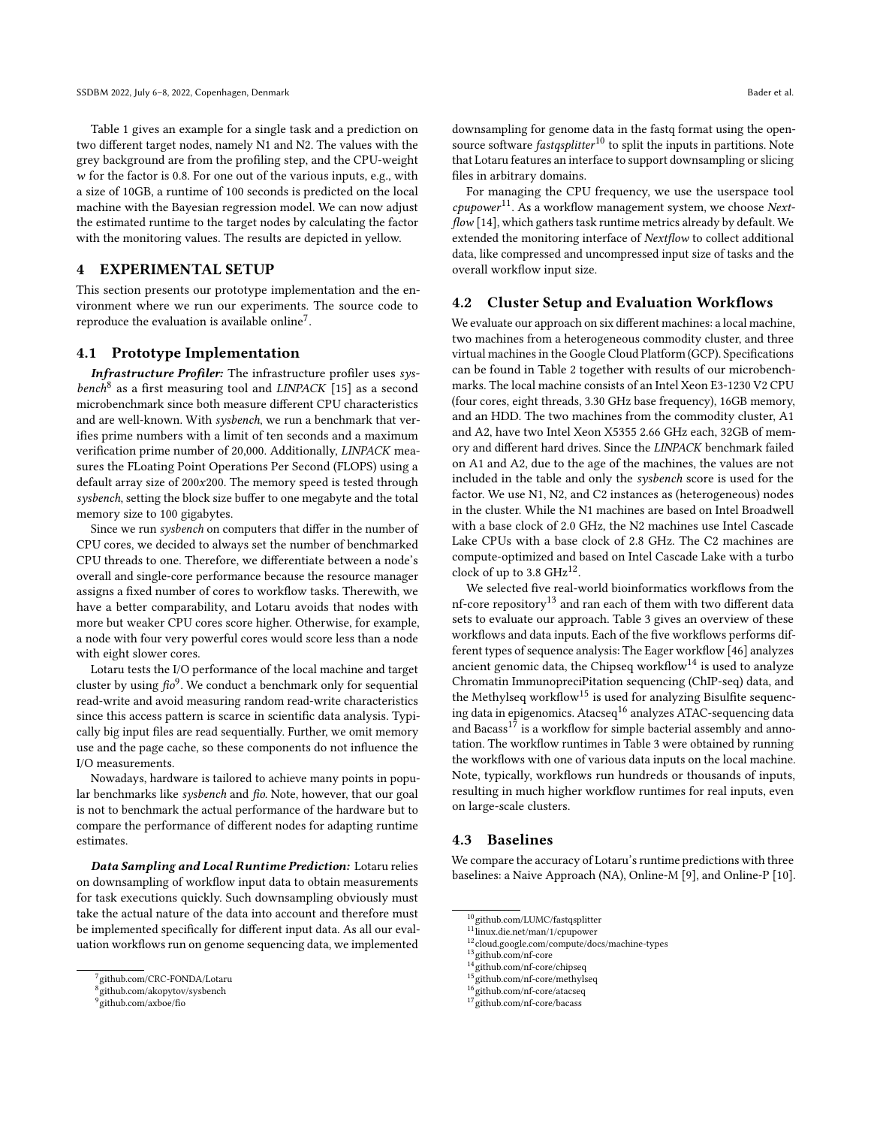Table [1](#page-4-2) gives an example for a single task and a prediction on two different target nodes, namely N1 and N2. The values with the grey background are from the profiling step, and the CPU-weight  $w$  for the factor is 0.8. For one out of the various inputs, e.g., with a size of 10GB, a runtime of 100 seconds is predicted on the local machine with the Bayesian regression model. We can now adjust the estimated runtime to the target nodes by calculating the factor with the monitoring values. The results are depicted in yellow.

## 4 EXPERIMENTAL SETUP

This section presents our prototype implementation and the environment where we run our experiments. The source code to reproduce the evaluation is available online<sup>7</sup>.

#### 4.1 Prototype Implementation

Infrastructure Profiler: The infrastructure profiler uses sys $bench<sup>8</sup>$  as a first measuring tool and  $LINPACK$  [\[15\]](#page-10-29) as a second microbenchmark since both measure different CPU characteristics and are well-known. With sysbench, we run a benchmark that verifies prime numbers with a limit of ten seconds and a maximum verification prime number of 20,000. Additionally, LINPACK measures the FLoating Point Operations Per Second (FLOPS) using a default array size of  $200x200$ . The memory speed is tested through sysbench, setting the block size buffer to one megabyte and the total memory size to 100 gigabytes.

Since we run sysbench on computers that differ in the number of CPU cores, we decided to always set the number of benchmarked CPU threads to one. Therefore, we differentiate between a node's overall and single-core performance because the resource manager assigns a fixed number of cores to workflow tasks. Therewith, we have a better comparability, and Lotaru avoids that nodes with more but weaker CPU cores score higher. Otherwise, for example, a node with four very powerful cores would score less than a node with eight slower cores.

Lotaru tests the I/O performance of the local machine and target cluster by using  $\hat{f\!io}^9$ . We conduct a benchmark only for sequential read-write and avoid measuring random read-write characteristics since this access pattern is scarce in scientific data analysis. Typically big input files are read sequentially. Further, we omit memory use and the page cache, so these components do not influence the I/O measurements.

Nowadays, hardware is tailored to achieve many points in popular benchmarks like sysbench and fio. Note, however, that our goal is not to benchmark the actual performance of the hardware but to compare the performance of different nodes for adapting runtime estimates.

Data Sampling and Local Runtime Prediction: Lotaru relies on downsampling of workflow input data to obtain measurements for task executions quickly. Such downsampling obviously must take the actual nature of the data into account and therefore must be implemented specifically for different input data. As all our evaluation workflows run on genome sequencing data, we implemented

downsampling for genome data in the fastq format using the opensource software *fastqsplitter*<sup>10</sup> to split the inputs in partitions. Note that Lotaru features an interface to support downsampling or slicing files in arbitrary domains.

For managing the CPU frequency, we use the userspace tool  $cpupower$ <sup>11</sup>. As a workflow management system, we choose Nextflow [\[14\]](#page-10-1), which gathers task runtime metrics already by default. We extended the monitoring interface of Nextflow to collect additional data, like compressed and uncompressed input size of tasks and the overall workflow input size.

#### <span id="page-5-1"></span>4.2 Cluster Setup and Evaluation Workflows

We evaluate our approach on six different machines: a local machine, two machines from a heterogeneous commodity cluster, and three virtual machines in the Google Cloud Platform (GCP). Specifications can be found in Table [2](#page-6-1) together with results of our microbenchmarks. The local machine consists of an Intel Xeon E3-1230 V2 CPU (four cores, eight threads, 3.30 GHz base frequency), 16GB memory, and an HDD. The two machines from the commodity cluster, A1 and A2, have two Intel Xeon X5355 2.66 GHz each, 32GB of memory and different hard drives. Since the LINPACK benchmark failed on A1 and A2, due to the age of the machines, the values are not included in the table and only the sysbench score is used for the factor. We use N1, N2, and C2 instances as (heterogeneous) nodes in the cluster. While the N1 machines are based on Intel Broadwell with a base clock of 2.0 GHz, the N2 machines use Intel Cascade Lake CPUs with a base clock of 2.8 GHz. The C2 machines are compute-optimized and based on Intel Cascade Lake with a turbo clock of up to 3.8  $GHz^{12}$ .

We selected five real-world bioinformatics workflows from the nf-core repository<sup>13</sup> and ran each of them with two different data sets to evaluate our approach. Table [3](#page-6-2) gives an overview of these workflows and data inputs. Each of the five workflows performs different types of sequence analysis: The Eager workflow [\[46\]](#page-11-7) analyzes ancient genomic data, the Chipseq workflow $14$  is used to analyze Chromatin ImmunopreciPitation sequencing (ChIP-seq) data, and the Methylseq workflow<sup>15</sup> is used for analyzing Bisulfite sequencing data in epigenomics. Atacseq<sup>16</sup> analyzes ATAC-sequencing data and Bacass<sup>17</sup> is a workflow for simple bacterial assembly and annotation. The workflow runtimes in Table [3](#page-6-2) were obtained by running the workflows with one of various data inputs on the local machine. Note, typically, workflows run hundreds or thousands of inputs, resulting in much higher workflow runtimes for real inputs, even on large-scale clusters.

#### <span id="page-5-0"></span>4.3 Baselines

We compare the accuracy of Lotaru's runtime predictions with three baselines: a Naive Approach (NA), Online-M [\[9\]](#page-10-22), and Online-P [\[10\]](#page-10-23).

<sup>14</sup>github.com/nf-core/chipseq

<sup>7</sup> github.com/CRC-FONDA/Lotaru

<sup>8</sup> github.com/akopytov/sysbench

<sup>9</sup> github.com/axboe/fio

 $\rm ^{10}$ github.com/LUMC/fastqsplitter

<sup>11&</sup>lt;sup>0</sup>linux.die.net/man/1/cpupower

<sup>12</sup>cloud.google.com/compute/docs/machine-types

<sup>13</sup>github.com/nf-core

 $^{15}$ github.com/nf-core/methylseq

github.com/nf-core/atacseq

<sup>17</sup>github.com/nf-core/bacass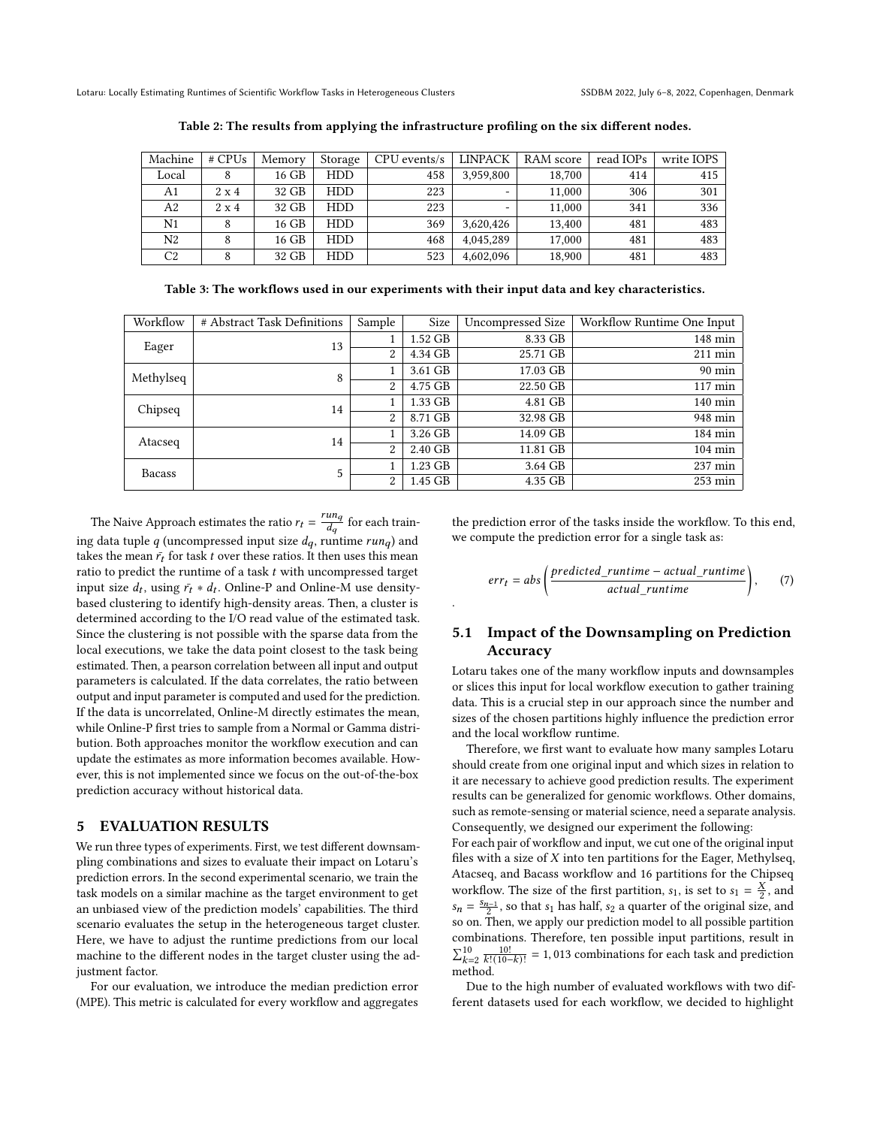<span id="page-6-1"></span>Lotaru: Locally Estimating Runtimes of Scientific Workflow Tasks in Heterogeneous Clusters SSDBM 2022, July 6-8, 2022, Copenhagen, Denmark

| Machine | $#$ CPUs     | Memory | Storage    | $CPU$ events/s | <b>LINPACK</b> | RAM score | read IOPs | write IOPS |
|---------|--------------|--------|------------|----------------|----------------|-----------|-----------|------------|
| Local   |              | 16 GB  | <b>HDD</b> | 458            | 3.959.800      | 18,700    | 414       | 415        |
| A1      | $2 \times 4$ | 32 GB  | <b>HDD</b> | 223            | -              | 11.000    | 306       | 301        |
| A2      | $2 \times 4$ | 32 GB  | <b>HDD</b> | 223            | -              | 11.000    | 341       | 336        |
| N1      |              | 16 GB  | <b>HDD</b> | 369            | 3,620,426      | 13.400    | 481       | 483        |
| N2      | 8            | 16 GB  | <b>HDD</b> | 468            | 4.045.289      | 17,000    | 481       | 483        |
| C2      |              | 32 GB  | HDD        | 523            | 4,602,096      | 18,900    | 481       | 483        |

Table 2: The results from applying the infrastructure profiling on the six different nodes.

Table 3: The workflows used in our experiments with their input data and key characteristics.

<span id="page-6-2"></span>

| Workflow      | # Abstract Task Definitions | Sample         | Size    | Uncompressed Size | Workflow Runtime One Input |
|---------------|-----------------------------|----------------|---------|-------------------|----------------------------|
| Eager         | 13                          |                | 1.52 GB | 8.33 GB           | 148 min                    |
|               |                             | 2              | 4.34 GB | 25.71 GB          | 211 min                    |
| Methylseq     | 8                           |                | 3.61 GB | 17.03 GB          | $90 \text{ min}$           |
|               |                             | $\overline{2}$ | 4.75 GB | 22.50 GB          | $117 \text{ min}$          |
| Chipseq       | 14                          |                | 1.33 GB | 4.81 GB           | $140$ min                  |
|               |                             | 2              | 8.71 GB | 32.98 GB          | 948 min                    |
| Atacseq       | 14                          |                | 3.26 GB | 14.09 GB          | 184 min                    |
|               |                             | 2              | 2.40 GB | 11.81 GB          | $104 \text{ min}$          |
| <b>Bacass</b> | 5                           |                | 1.23 GB | 3.64 GB           | 237 min                    |
|               |                             | $\overline{2}$ | 1.45 GB | 4.35 GB           | 253 min                    |

.

The Naive Approach estimates the ratio  $r_t = \frac{run_q}{d}$  $\frac{d n q}{d q}$  for each training data tuple q (uncompressed input size  $d_q$ , runtime  $run_q$ ) and takes the mean  $\bar{r}_t$  for task *t* over these ratios. It then uses this mean ratio to predict the runtime of a task  $t$  with uncompressed target input size  $d_t$ , using  $\bar{r}_t * d_t$ . Online-P and Online-M use densitybased clustering to identify high-density areas. Then, a cluster is determined according to the I/O read value of the estimated task. Since the clustering is not possible with the sparse data from the local executions, we take the data point closest to the task being estimated. Then, a pearson correlation between all input and output parameters is calculated. If the data correlates, the ratio between output and input parameter is computed and used for the prediction. If the data is uncorrelated, Online-M directly estimates the mean, while Online-P first tries to sample from a Normal or Gamma distribution. Both approaches monitor the workflow execution and can update the estimates as more information becomes available. However, this is not implemented since we focus on the out-of-the-box prediction accuracy without historical data.

## 5 EVALUATION RESULTS

We run three types of experiments. First, we test different downsampling combinations and sizes to evaluate their impact on Lotaru's prediction errors. In the second experimental scenario, we train the task models on a similar machine as the target environment to get an unbiased view of the prediction models' capabilities. The third scenario evaluates the setup in the heterogeneous target cluster. Here, we have to adjust the runtime predictions from our local machine to the different nodes in the target cluster using the adjustment factor.

For our evaluation, we introduce the median prediction error (MPE). This metric is calculated for every workflow and aggregates

the prediction error of the tasks inside the workflow. To this end, we compute the prediction error for a single task as:

$$
err_t = abs \left( \frac{predicted\_rutime - actual\_rutime}{actual\_rutime} \right), \qquad (7)
$$

# <span id="page-6-0"></span>5.1 Impact of the Downsampling on Prediction Accuracy

Lotaru takes one of the many workflow inputs and downsamples or slices this input for local workflow execution to gather training data. This is a crucial step in our approach since the number and sizes of the chosen partitions highly influence the prediction error and the local workflow runtime.

Therefore, we first want to evaluate how many samples Lotaru should create from one original input and which sizes in relation to it are necessary to achieve good prediction results. The experiment results can be generalized for genomic workflows. Other domains, such as remote-sensing or material science, need a separate analysis. Consequently, we designed our experiment the following:

For each pair of workflow and input, we cut one of the original input files with a size of  $X$  into ten partitions for the Eager, Methylseq, Atacseq, and Bacass workflow and 16 partitions for the Chipseq workflow. The size of the first partition,  $s_1$ , is set to  $s_1 = \frac{X}{2}$  $\frac{x}{2}$ , and  $s_n = \frac{s_{n-1}}{2}$ , so that  $s_1$  has half,  $s_2$  a quarter of the original size, and so on. Then, we apply our prediction model to all possible partition combinations. Therefore, ten possible input partitions, result in  $\sum_{k=2}^{10} \frac{10!}{k!(10-k)!} = 1,013$  combinations for each task and prediction method.

Due to the high number of evaluated workflows with two different datasets used for each workflow, we decided to highlight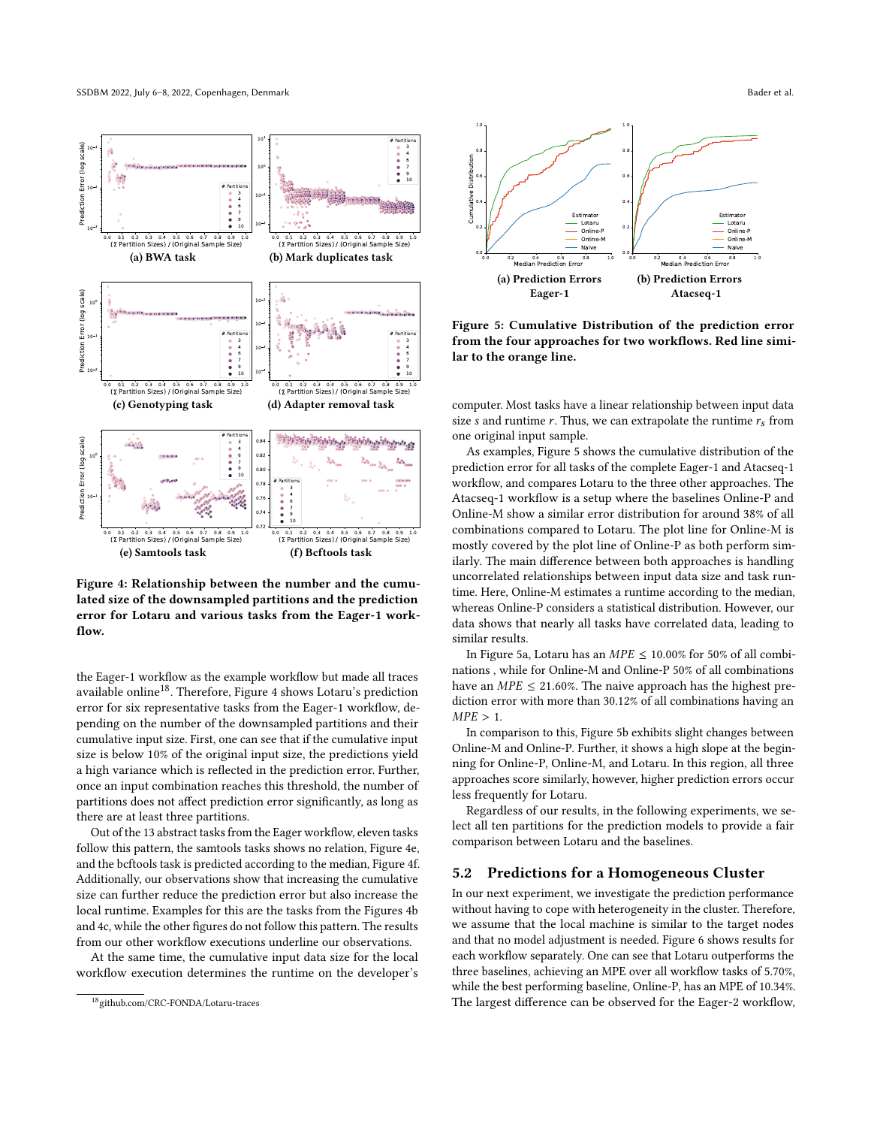<span id="page-7-0"></span>

Figure 4: Relationship between the number and the cumulated size of the downsampled partitions and the prediction error for Lotaru and various tasks from the Eager-1 workflow.

the Eager-1 workflow as the example workflow but made all traces available online<sup>18</sup>. Therefore, Figure [4](#page-7-0) shows Lotaru's prediction error for six representative tasks from the Eager-1 workflow, depending on the number of the downsampled partitions and their cumulative input size. First, one can see that if the cumulative input size is below 10% of the original input size, the predictions yield a high variance which is reflected in the prediction error. Further, once an input combination reaches this threshold, the number of partitions does not affect prediction error significantly, as long as there are at least three partitions.

Out of the 13 abstract tasks from the Eager workflow, eleven tasks follow this pattern, the samtools tasks shows no relation, Figure [4e,](#page-7-0) and the bcftools task is predicted according to the median, Figure [4f.](#page-7-0) Additionally, our observations show that increasing the cumulative size can further reduce the prediction error but also increase the local runtime. Examples for this are the tasks from the Figures [4b](#page-7-0) and [4c,](#page-7-0) while the other figures do not follow this pattern. The results from our other workflow executions underline our observations.

At the same time, the cumulative input data size for the local workflow execution determines the runtime on the developer's

<span id="page-7-1"></span>

Figure 5: Cumulative Distribution of the prediction error from the four approaches for two workflows. Red line similar to the orange line.

computer. Most tasks have a linear relationship between input data size s and runtime r. Thus, we can extrapolate the runtime  $r_s$  from one original input sample.

As examples, Figure [5](#page-7-1) shows the cumulative distribution of the prediction error for all tasks of the complete Eager-1 and Atacseq-1 workflow, and compares Lotaru to the three other approaches. The Atacseq-1 workflow is a setup where the baselines Online-P and Online-M show a similar error distribution for around 38% of all combinations compared to Lotaru. The plot line for Online-M is mostly covered by the plot line of Online-P as both perform similarly. The main difference between both approaches is handling uncorrelated relationships between input data size and task runtime. Here, Online-M estimates a runtime according to the median, whereas Online-P considers a statistical distribution. However, our data shows that nearly all tasks have correlated data, leading to similar results.

In Figure [5a,](#page-7-1) Lotaru has an  $MPE \le 10.00\%$  for 50% of all combinations , while for Online-M and Online-P 50% of all combinations have an  $MPE \leq 21.60\%$ . The naive approach has the highest prediction error with more than 30.12% of all combinations having an  $MPE > 1$ .

In comparison to this, Figure [5b](#page-7-1) exhibits slight changes between Online-M and Online-P. Further, it shows a high slope at the beginning for Online-P, Online-M, and Lotaru. In this region, all three approaches score similarly, however, higher prediction errors occur less frequently for Lotaru.

Regardless of our results, in the following experiments, we select all ten partitions for the prediction models to provide a fair comparison between Lotaru and the baselines.

#### 5.2 Predictions for a Homogeneous Cluster

In our next experiment, we investigate the prediction performance without having to cope with heterogeneity in the cluster. Therefore, we assume that the local machine is similar to the target nodes and that no model adjustment is needed. Figure [6](#page-8-0) shows results for each workflow separately. One can see that Lotaru outperforms the three baselines, achieving an MPE over all workflow tasks of 5.70%, while the best performing baseline, Online-P, has an MPE of 10.34%. The largest difference can be observed for the Eager-2 workflow,

<sup>18</sup>github.com/CRC-FONDA/Lotaru-traces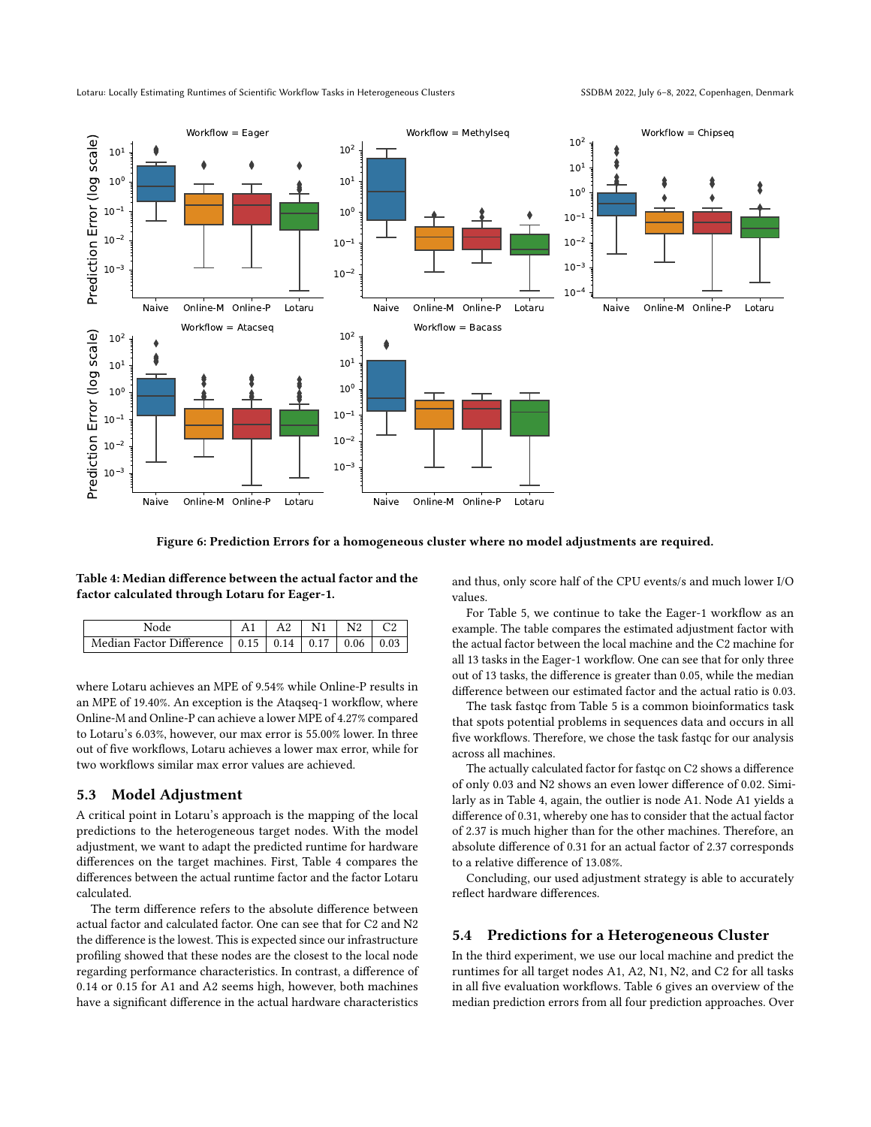<span id="page-8-0"></span>

Figure 6: Prediction Errors for a homogeneous cluster where no model adjustments are required.

<span id="page-8-1"></span>Table 4: Median difference between the actual factor and the factor calculated through Lotaru for Eager-1.

| Node                                                        | A1 |  | $\mid$ A2 $\mid$ N1 $\mid$ N2 $\mid$ C2 |  |
|-------------------------------------------------------------|----|--|-----------------------------------------|--|
| Median Factor Difference   0.15   0.14   0.17   0.06   0.03 |    |  |                                         |  |

where Lotaru achieves an MPE of 9.54% while Online-P results in an MPE of 19.40%. An exception is the Ataqseq-1 workflow, where Online-M and Online-P can achieve a lower MPE of 4.27% compared to Lotaru's 6.03%, however, our max error is 55.00% lower. In three out of five workflows, Lotaru achieves a lower max error, while for two workflows similar max error values are achieved.

#### 5.3 Model Adjustment

A critical point in Lotaru's approach is the mapping of the local predictions to the heterogeneous target nodes. With the model adjustment, we want to adapt the predicted runtime for hardware differences on the target machines. First, Table [4](#page-8-1) compares the differences between the actual runtime factor and the factor Lotaru calculated.

The term difference refers to the absolute difference between actual factor and calculated factor. One can see that for C2 and N2 the difference is the lowest. This is expected since our infrastructure profiling showed that these nodes are the closest to the local node regarding performance characteristics. In contrast, a difference of 0.14 or 0.15 for A1 and A2 seems high, however, both machines have a significant difference in the actual hardware characteristics and thus, only score half of the CPU events/s and much lower I/O values.

For Table [5,](#page-9-0) we continue to take the Eager-1 workflow as an example. The table compares the estimated adjustment factor with the actual factor between the local machine and the C2 machine for all 13 tasks in the Eager-1 workflow. One can see that for only three out of 13 tasks, the difference is greater than 0.05, while the median difference between our estimated factor and the actual ratio is 0.03.

The task fastqc from Table [5](#page-9-0) is a common bioinformatics task that spots potential problems in sequences data and occurs in all five workflows. Therefore, we chose the task fastqc for our analysis across all machines.

The actually calculated factor for fastqc on C2 shows a difference of only 0.03 and N2 shows an even lower difference of 0.02. Similarly as in Table [4,](#page-8-1) again, the outlier is node A1. Node A1 yields a difference of 0.31, whereby one has to consider that the actual factor of 2.37 is much higher than for the other machines. Therefore, an absolute difference of 0.31 for an actual factor of 2.37 corresponds to a relative difference of 13.08%.

Concluding, our used adjustment strategy is able to accurately reflect hardware differences.

#### 5.4 Predictions for a Heterogeneous Cluster

In the third experiment, we use our local machine and predict the runtimes for all target nodes A1, A2, N1, N2, and C2 for all tasks in all five evaluation workflows. Table [6](#page-9-1) gives an overview of the median prediction errors from all four prediction approaches. Over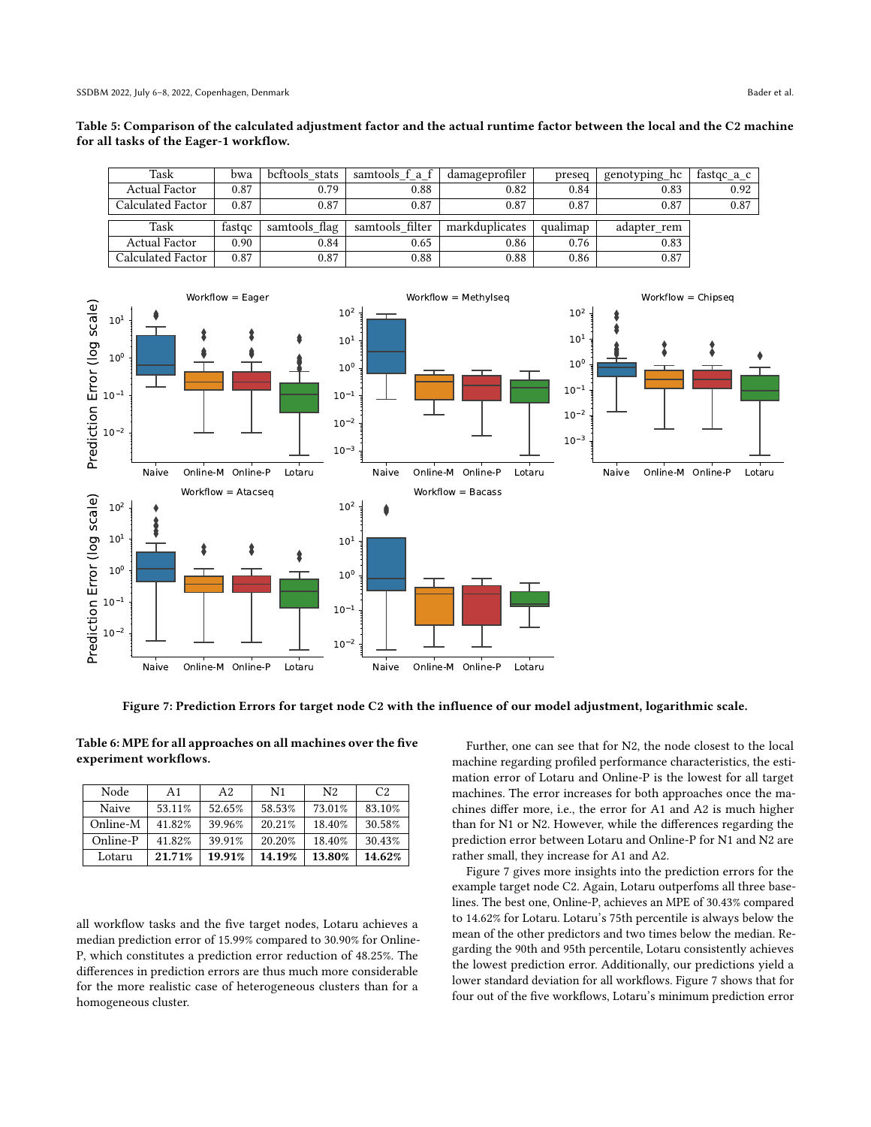<span id="page-9-0"></span>

| Table 5: Comparison of the calculated adjustment factor and the actual runtime factor between the local and the C2 machine |  |
|----------------------------------------------------------------------------------------------------------------------------|--|
| for all tasks of the Eager-1 workflow.                                                                                     |  |

| Task              | bwa    | bcftools stats | samtools f a f  | damageprofiler | preseq   | genotyping hc | $frac$ fastqc_a_c |
|-------------------|--------|----------------|-----------------|----------------|----------|---------------|-------------------|
| Actual Factor     | 0.87   | 0.79           | 0.88            | 0.82           | 0.84     | 0.83          | 0.92              |
| Calculated Factor | 0.87   | 0.87           | 0.87            | 0.87           | 0.87     | 0.87          | 0.87              |
|                   |        |                |                 |                |          |               |                   |
| Task              | fastoc | samtools flag  | samtools filter | markduplicates | qualimap | adapter rem   |                   |
| Actual Factor     | 0.90   | 0.84           | 0.65            | 0.86           | 0.76     | 0.83          |                   |
| Calculated Factor | 0.87   | 0.87           | 0.88            | 0.88           | 0.86     | 0.87          |                   |

<span id="page-9-2"></span>

Figure 7: Prediction Errors for target node C2 with the influence of our model adjustment, logarithmic scale.

<span id="page-9-1"></span>Table 6: MPE for all approaches on all machines over the five experiment workflows.

| Node     | A1      | A <sub>2</sub> | N <sub>1</sub> | N <sub>2</sub> | C2     |
|----------|---------|----------------|----------------|----------------|--------|
| Naive    | 53.11\% | 52.65%         | 58.53%         | 73.01%         | 83.10% |
| Online-M | 41.82%  | 39.96%         | 20.21%         | 18.40%         | 30.58% |
| Online-P | 41.82%  | 39.91%         | 20.20%         | 18.40%         | 30.43% |
| Lotaru   | 21.71%  | 19.91%         | 14.19%         | 13.80%         | 14.62% |

all workflow tasks and the five target nodes, Lotaru achieves a median prediction error of 15.99% compared to 30.90% for Online-P, which constitutes a prediction error reduction of 48.25%. The differences in prediction errors are thus much more considerable for the more realistic case of heterogeneous clusters than for a homogeneous cluster.

Further, one can see that for N2, the node closest to the local machine regarding profiled performance characteristics, the estimation error of Lotaru and Online-P is the lowest for all target machines. The error increases for both approaches once the machines differ more, i.e., the error for A1 and A2 is much higher than for N1 or N2. However, while the differences regarding the prediction error between Lotaru and Online-P for N1 and N2 are rather small, they increase for A1 and A2.

Figure [7](#page-9-2) gives more insights into the prediction errors for the example target node C2. Again, Lotaru outperfoms all three baselines. The best one, Online-P, achieves an MPE of 30.43% compared to 14.62% for Lotaru. Lotaru's 75th percentile is always below the mean of the other predictors and two times below the median. Regarding the 90th and 95th percentile, Lotaru consistently achieves the lowest prediction error. Additionally, our predictions yield a lower standard deviation for all workflows. Figure [7](#page-9-2) shows that for four out of the five workflows, Lotaru's minimum prediction error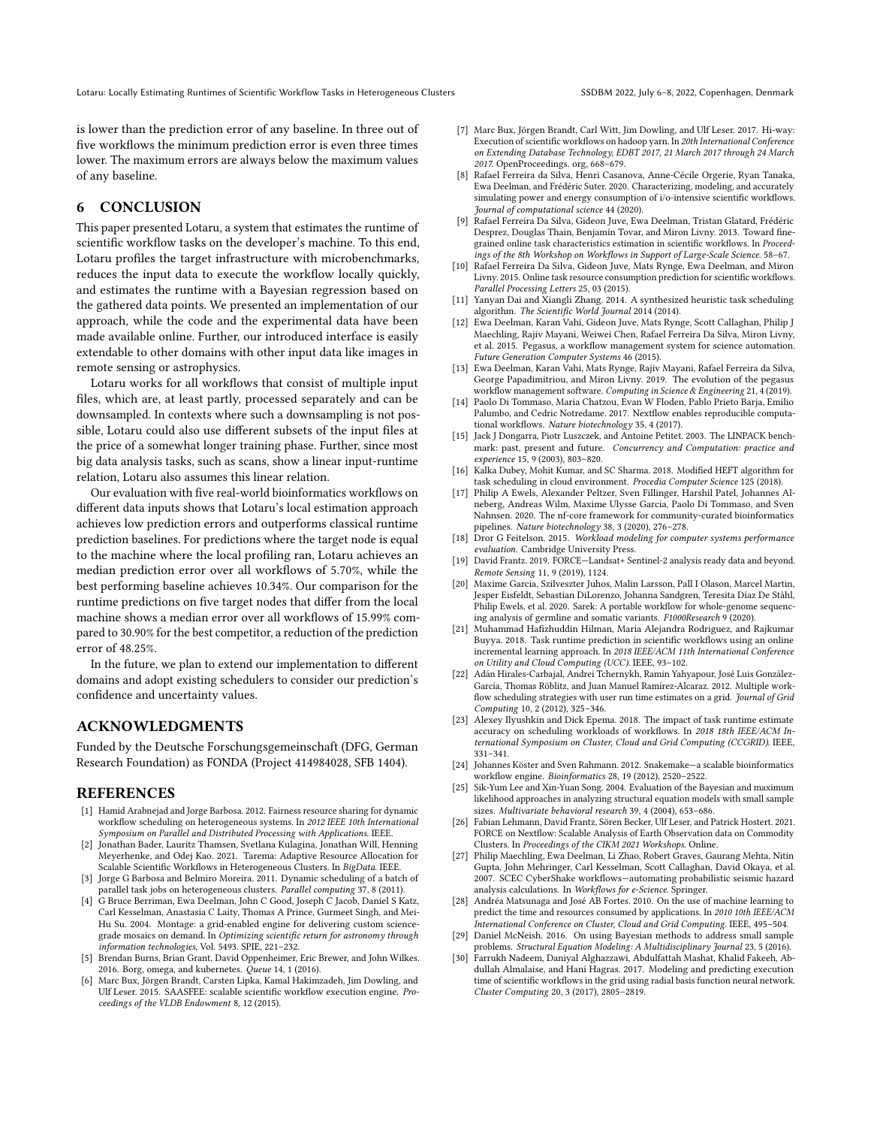is lower than the prediction error of any baseline. In three out of five workflows the minimum prediction error is even three times lower. The maximum errors are always below the maximum values of any baseline.

# 6 CONCLUSION

This paper presented Lotaru, a system that estimates the runtime of scientific workflow tasks on the developer's machine. To this end, Lotaru profiles the target infrastructure with microbenchmarks, reduces the input data to execute the workflow locally quickly, and estimates the runtime with a Bayesian regression based on the gathered data points. We presented an implementation of our approach, while the code and the experimental data have been made available online. Further, our introduced interface is easily extendable to other domains with other input data like images in remote sensing or astrophysics.

Lotaru works for all workflows that consist of multiple input files, which are, at least partly, processed separately and can be downsampled. In contexts where such a downsampling is not possible, Lotaru could also use different subsets of the input files at the price of a somewhat longer training phase. Further, since most big data analysis tasks, such as scans, show a linear input-runtime relation, Lotaru also assumes this linear relation.

Our evaluation with five real-world bioinformatics workflows on different data inputs shows that Lotaru's local estimation approach achieves low prediction errors and outperforms classical runtime prediction baselines. For predictions where the target node is equal to the machine where the local profiling ran, Lotaru achieves an median prediction error over all workflows of 5.70%, while the best performing baseline achieves 10.34%. Our comparison for the runtime predictions on five target nodes that differ from the local machine shows a median error over all workflows of 15.99% compared to 30.90% for the best competitor, a reduction of the prediction error of 48.25%.

In the future, we plan to extend our implementation to different domains and adopt existing schedulers to consider our prediction's confidence and uncertainty values.

## ACKNOWLEDGMENTS

Funded by the Deutsche Forschungsgemeinschaft (DFG, German Research Foundation) as FONDA (Project 414984028, SFB 1404).

## **REFERENCES**

- <span id="page-10-17"></span>[1] Hamid Arabnejad and Jorge Barbosa. 2012. Fairness resource sharing for dynamic workflow scheduling on heterogeneous systems. In 2012 IEEE 10th International Symposium on Parallel and Distributed Processing with Applications. IEEE.
- <span id="page-10-2"></span>[2] Jonathan Bader, Lauritz Thamsen, Svetlana Kulagina, Jonathan Will, Henning Meyerhenke, and Odej Kao. 2021. Tarema: Adaptive Resource Allocation for Scalable Scientific Workflows in Heterogeneous Clusters. In BigData. IEEE.
- <span id="page-10-9"></span>[3] Jorge G Barbosa and Belmiro Moreira. 2011. Dynamic scheduling of a batch of parallel task jobs on heterogeneous clusters. Parallel computing 37, 8 (2011).
- <span id="page-10-10"></span>[4] G Bruce Berriman, Ewa Deelman, John C Good, Joseph C Jacob, Daniel S Katz, Carl Kesselman, Anastasia C Laity, Thomas A Prince, Gurmeet Singh, and Mei-Hu Su. 2004. Montage: a grid-enabled engine for delivering custom sciencegrade mosaics on demand. In Optimizing scientific return for astronomy through information technologies, Vol. 5493. SPIE, 221–232.
- <span id="page-10-14"></span>[5] Brendan Burns, Brian Grant, David Oppenheimer, Eric Brewer, and John Wilkes. 2016. Borg, omega, and kubernetes. Queue 14, 1 (2016).
- <span id="page-10-6"></span>[6] Marc Bux, Jörgen Brandt, Carsten Lipka, Kamal Hakimzadeh, Jim Dowling, and Ulf Leser. 2015. SAASFEE: scalable scientific workflow execution engine. Proceedings of the VLDB Endowment 8, 12 (2015).
- <span id="page-10-18"></span>[7] Marc Bux, Jörgen Brandt, Carl Witt, Jim Dowling, and Ulf Leser. 2017. Hi-way: Execution of scientific workflows on hadoop yarn. In 20th International Conference on Extending Database Technology, EDBT 2017, 21 March 2017 through 24 March 2017. OpenProceedings. org, 668–679.
- <span id="page-10-3"></span>[8] Rafael Ferreira da Silva, Henri Casanova, Anne-Cécile Orgerie, Ryan Tanaka, Ewa Deelman, and Frédéric Suter. 2020. Characterizing, modeling, and accurately simulating power and energy consumption of i/o-intensive scientific workflows. Journal of computational science 44 (2020).
- <span id="page-10-22"></span>[9] Rafael Ferreira Da Silva, Gideon Juve, Ewa Deelman, Tristan Glatard, Frédéric Desprez, Douglas Thain, Benjamín Tovar, and Miron Livny. 2013. Toward finegrained online task characteristics estimation in scientific workflows. In Proceedings of the 8th Workshop on Workflows in Support of Large-Scale Science. 58–67.
- <span id="page-10-23"></span>[10] Rafael Ferreira Da Silva, Gideon Juve, Mats Rynge, Ewa Deelman, and Miron Livny. 2015. Online task resource consumption prediction for scientific workflows. Parallel Processing Letters 25, 03 (2015).
- <span id="page-10-16"></span>[11] Yanyan Dai and Xiangli Zhang. 2014. A synthesized heuristic task scheduling algorithm. The Scientific World Journal 2014 (2014).
- <span id="page-10-7"></span>[12] Ewa Deelman, Karan Vahi, Gideon Juve, Mats Rynge, Scott Callaghan, Philip J Maechling, Rajiv Mayani, Weiwei Chen, Rafael Ferreira Da Silva, Miron Livny, et al. 2015. Pegasus, a workflow management system for science automation. Future Generation Computer Systems 46 (2015).
- <span id="page-10-0"></span>[13] Ewa Deelman, Karan Vahi, Mats Rynge, Rajiv Mayani, Rafael Ferreira da Silva, George Papadimitriou, and Miron Livny. 2019. The evolution of the pegasus workflow management software. Computing in Science & Engineering 21, 4 (2019).
- <span id="page-10-1"></span>[14] Paolo Di Tommaso, Maria Chatzou, Evan W Floden, Pablo Prieto Barja, Emilio Palumbo, and Cedric Notredame. 2017. Nextflow enables reproducible computational workflows. Nature biotechnology 35, 4 (2017).
- <span id="page-10-29"></span>[15] Jack J Dongarra, Piotr Luszczek, and Antoine Petitet. 2003. The LINPACK benchmark: past, present and future. Concurrency and Computation: practice and experience 15, 9 (2003), 803–820.
- <span id="page-10-15"></span>[16] Kalka Dubey, Mohit Kumar, and SC Sharma. 2018. Modified HEFT algorithm for task scheduling in cloud environment. Procedia Computer Science 125 (2018).
- <span id="page-10-13"></span>[17] Philip A Ewels, Alexander Peltzer, Sven Fillinger, Harshil Patel, Johannes Alneberg, Andreas Wilm, Maxime Ulysse Garcia, Paolo Di Tommaso, and Sven Nahnsen. 2020. The nf-core framework for community-curated bioinformatics pipelines. Nature biotechnology 38, 3 (2020), 276–278.
- <span id="page-10-19"></span>[18] Dror G Feitelson. 2015. Workload modeling for computer systems performance evaluation. Cambridge University Press.
- <span id="page-10-11"></span>[19] David Frantz. 2019. FORCE—Landsat+ Sentinel-2 analysis ready data and beyond. Remote Sensing 11, 9 (2019), 1124.
- <span id="page-10-12"></span>[20] Maxime Garcia, Szilveszter Juhos, Malin Larsson, Pall I Olason, Marcel Martin, Jesper Eisfeldt, Sebastian DiLorenzo, Johanna Sandgren, Teresita Díaz De Ståhl, Philip Ewels, et al. 2020. Sarek: A portable workflow for whole-genome sequencing analysis of germline and somatic variants. F1000Research 9 (2020).
- <span id="page-10-25"></span>[21] Muhammad Hafizhuddin Hilman, Maria Alejandra Rodriguez, and Rajkumar Buyya. 2018. Task runtime prediction in scientific workflows using an online incremental learning approach. In 2018 IEEE/ACM 11th International Conference on Utility and Cloud Computing (UCC). IEEE, 93–102.
- <span id="page-10-20"></span>[22] Adán Hirales-Carbajal, Andrei Tchernykh, Ramin Yahyapour, José Luis González-García, Thomas Röblitz, and Juan Manuel Ramírez-Alcaraz. 2012. Multiple workflow scheduling strategies with user run time estimates on a grid. Journal of Grid Computing 10, 2 (2012), 325–346.
- <span id="page-10-21"></span>[23] Alexey Ilyushkin and Dick Epema. 2018. The impact of task runtime estimate accuracy on scheduling workloads of workflows. In 2018 18th IEEE/ACM International Symposium on Cluster, Cloud and Grid Computing (CCGRID). IEEE, 331–341.
- <span id="page-10-8"></span>[24] Johannes Köster and Sven Rahmann. 2012. Snakemake—a scalable bioinformatics workflow engine. Bioinformatics 28, 19 (2012), 2520–2522.
- <span id="page-10-27"></span>[25] Sik-Yum Lee and Xin-Yuan Song. 2004. Evaluation of the Bayesian and maximum likelihood approaches in analyzing structural equation models with small sample sizes. Multivariate behavioral research 39, 4 (2004), 653–686.
- <span id="page-10-4"></span>[26] Fabian Lehmann, David Frantz, Sören Becker, Ulf Leser, and Patrick Hostert. 2021. FORCE on Nextflow: Scalable Analysis of Earth Observation data on Commodity Clusters. In Proceedings of the CIKM 2021 Workshops. Online.
- <span id="page-10-5"></span>[27] Philip Maechling, Ewa Deelman, Li Zhao, Robert Graves, Gaurang Mehta, Nitin Gupta, John Mehringer, Carl Kesselman, Scott Callaghan, David Okaya, et al. 2007. SCEC CyberShake workflows—automating probabilistic seismic hazard analysis calculations. In Workflows for e-Science. Springer.
- <span id="page-10-26"></span>[28] Andréa Matsunaga and José AB Fortes. 2010. On the use of machine learning to predict the time and resources consumed by applications. In 2010 10th IEEE/ACM International Conference on Cluster, Cloud and Grid Computing. IEEE, 495–504.
- <span id="page-10-28"></span>[29] Daniel McNeish. 2016. On using Bayesian methods to address small sample problems. Structural Equation Modeling: A Multidisciplinary Journal 23, 5 (2016).
- <span id="page-10-24"></span>[30] Farrukh Nadeem, Daniyal Alghazzawi, Abdulfattah Mashat, Khalid Fakeeh, Abdullah Almalaise, and Hani Hagras. 2017. Modeling and predicting execution time of scientific workflows in the grid using radial basis function neural network. Cluster Computing 20, 3 (2017), 2805–2819.